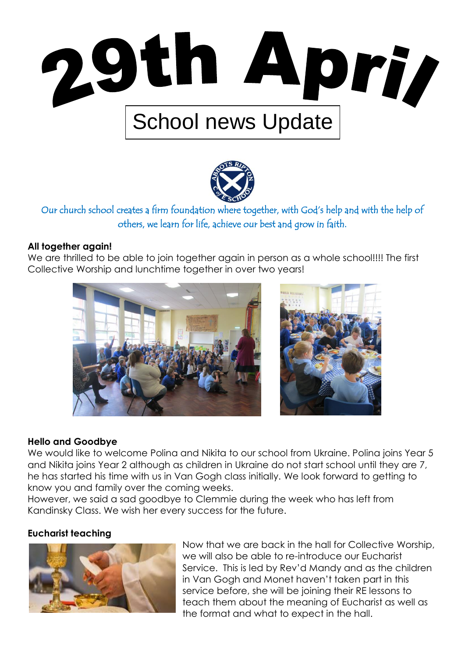



Our church school creates a firm foundation where together, with God's help and with the help of others, we learn for life, achieve our best and grow in faith.

#### **All together again!**

We are thrilled to be able to join together again in person as a whole school!!!! The first Collective Worship and lunchtime together in over two years!





#### **Hello and Goodbye**

We would like to welcome Polina and Nikita to our school from Ukraine. Polina joins Year 5 and Nikita joins Year 2 although as children in Ukraine do not start school until they are 7, he has started his time with us in Van Gogh class initially. We look forward to getting to know you and family over the coming weeks.

However, we said a sad goodbye to Clemmie during the week who has left from Kandinsky Class. We wish her every success for the future.

#### **Eucharist teaching**



Now that we are back in the hall for Collective Worship, we will also be able to re-introduce our Eucharist Service. This is led by Rev'd Mandy and as the children in Van Gogh and Monet haven't taken part in this service before, she will be joining their RE lessons to teach them about the meaning of Eucharist as well as the format and what to expect in the hall.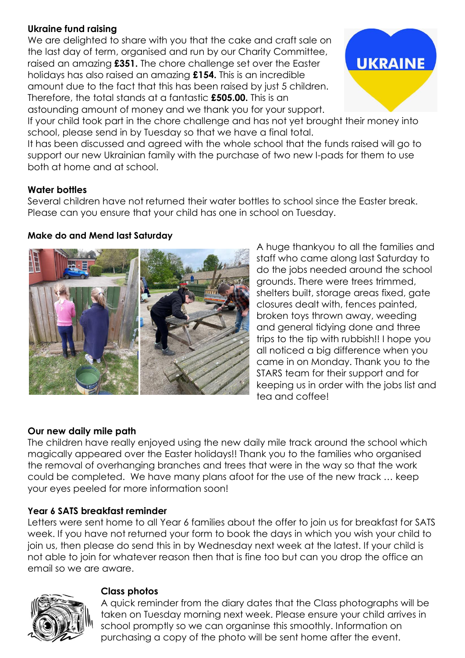# **Ukraine fund raising**

We are delighted to share with you that the cake and craft sale on the last day of term, organised and run by our Charity Committee, raised an amazing **£351.** The chore challenge set over the Easter holidays has also raised an amazing **£154.** This is an incredible amount due to the fact that this has been raised by just 5 children. Therefore, the total stands at a fantastic **£505.00.** This is an astounding amount of money and we thank you for your support.



If your child took part in the chore challenge and has not yet brought their money into school, please send in by Tuesday so that we have a final total.

It has been discussed and agreed with the whole school that the funds raised will go to support our new Ukrainian family with the purchase of two new I-pads for them to use both at home and at school.

## **Water bottles**

Several children have not returned their water bottles to school since the Easter break. Please can you ensure that your child has one in school on Tuesday.

## **Make do and Mend last Saturday**



A huge thankyou to all the families and staff who came along last Saturday to do the jobs needed around the school grounds. There were trees trimmed, shelters built, storage areas fixed, gate closures dealt with, fences painted, broken toys thrown away, weeding and general tidying done and three trips to the tip with rubbish!! I hope you all noticed a big difference when you came in on Monday. Thank you to the STARS team for their support and for keeping us in order with the jobs list and tea and coffee!

## **Our new daily mile path**

The children have really enjoyed using the new daily mile track around the school which magically appeared over the Easter holidays!! Thank you to the families who organised the removal of overhanging branches and trees that were in the way so that the work could be completed. We have many plans afoot for the use of the new track … keep your eyes peeled for more information soon!

## **Year 6 SATS breakfast reminder**

Letters were sent home to all Year 6 families about the offer to join us for breakfast for SATS week. If you have not returned your form to book the days in which you wish your child to join us, then please do send this in by Wednesday next week at the latest. If your child is not able to join for whatever reason then that is fine too but can you drop the office an email so we are aware.



#### **Class photos**

A quick reminder from the diary dates that the Class photographs will be taken on Tuesday morning next week. Please ensure your child arrives in school promptly so we can organinse this smoothly. Information on purchasing a copy of the photo will be sent home after the event.